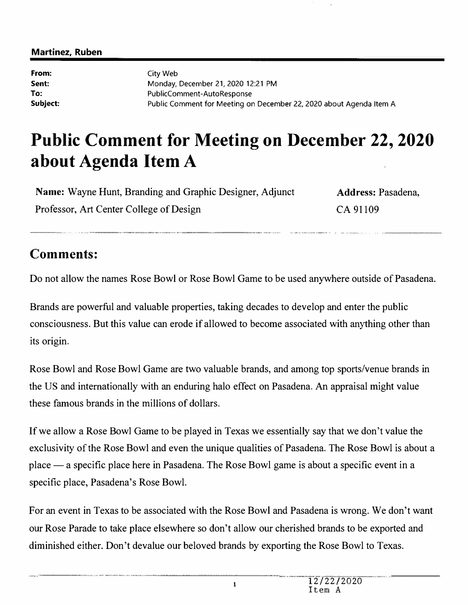#### **Martinez, Ruben**

**From: Sent: To:**  City Web Monday, December 21, 2020 12:21 PM PublicComment-AutoResponse **Subject:** Public Comment for Meeting on December 22, 2020 about Agenda Item A

# **Public Comment for Meeting on December 22, 2020 about Agenda Item A**

**Name:** Wayne Hunt, Branding and Graphic Designer, Adjunct Professor, Art Center College of Design

**Address:** Pasadena, CA 91109

## **Comments:**

Do not allow the names Rose Bowl or Rose Bowl Game to be used anywhere outside of Pasadena.

Brands are powerful and valuable properties, taking decades to develop and enter the public consciousness. But this value can erode if allowed to become associated with anything other than its origin.

Rose Bowl and Rose Bowl Game are two valuable brands, and among top sports/venue brands in the US and internationally with an enduring halo effect on Pasadena. An appraisal might value these famous brands in the millions of dollars.

If we allow a Rose Bowl Game to be played in Texas we essentially say that we don't value the exclusivity of the Rose Bowl and even the unique qualities of Pasadena. The Rose Bowl is about a place  $-$  a specific place here in Pasadena. The Rose Bowl game is about a specific event in a specific place, Pasadena's Rose Bowl.

For an event in Texas to be associated with the Rose Bowl and Pasadena is wrong. We don't want our Rose Parade to take place elsewhere so don't allow our cherished brands to be exported and diminished either. Don't devalue our beloved brands by exporting the Rose Bowl to Texas.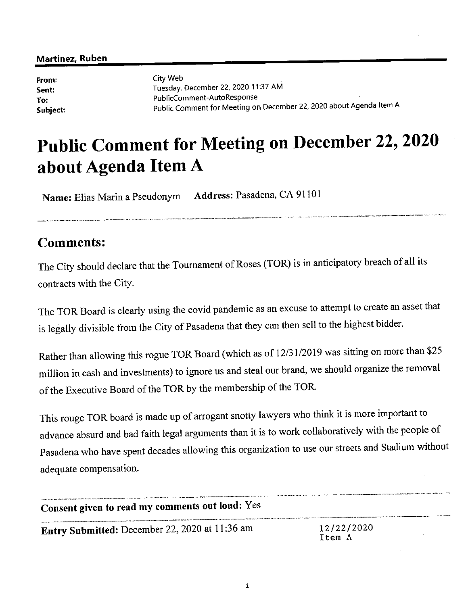#### Martinez, Ruben

From: Sent: To: Subject: City Web Tuesday, December 22, 2020 11:37 AM PublicComment-AutoResponse Public Comment for Meeting on December 22, 2020 about Agenda Item A

# **Public Comment for Meeting on December 22, 2020** about Agenda Item A

Name: Elias Marin a Pseudonym Address: Pasadena, CA 91101

### **Comments:**

The City should declare that the Tournament of Roses (TOR) is in anticipatory breach of all its contracts with the City.

The TOR Board is clearly using the covid pandemic as an excuse to attempt to create an asset that is legally divisible from the City of Pasadena that they can then sell to the highest bidder.

Rather than allowing this rogue TOR Board (which as of 12/31/2019 was sitting on more than \$25 million in cash and investments) to ignore us and steal our brand, we should organize the removal of the Executive Board of the TOR by the membership of the TOR.

This rouge TOR board is made up of arrogant snotty lawyers who think it is more important to advance absurd and bad faith legal arguments than it is to work collaboratively with the people of Pasadena who have spent decades allowing this organization to use our streets and Stadium without adequate compensation.

| TOWN THE SEATHER TO A RESERVE THE RESERVED TO THE RESERVED TO THE RESERVED TO THE RESERVED TO THE RESERVED TO THE RESERVED TO THE RESERVED TO THE RESERVED TO THE RESERVED TO THE RESERVED TO THE RESERVED TO THE RESERVED TO<br>Consent given to read my comments out loud: Yes | the contract and walkers dependently companies and contract and contract the selection of the contract of the contract of the contract of the contract of the contract of the contract of the contract of the contract of the |
|----------------------------------------------------------------------------------------------------------------------------------------------------------------------------------------------------------------------------------------------------------------------------------|-------------------------------------------------------------------------------------------------------------------------------------------------------------------------------------------------------------------------------|
| Entry Submitted: December 22, 2020 at 11:36 am                                                                                                                                                                                                                                   | 12/22/2020<br>Item A                                                                                                                                                                                                          |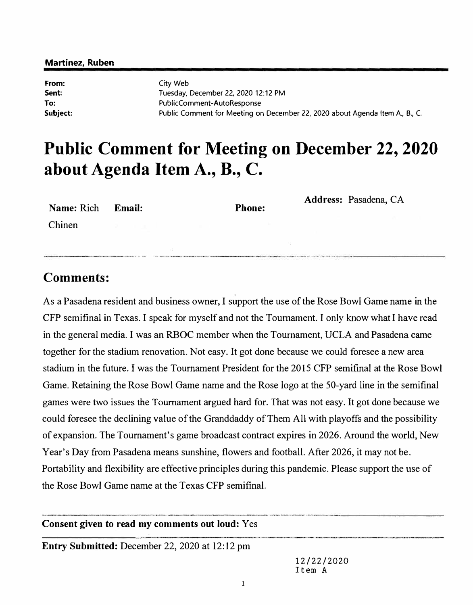#### **Martinez, Ruben**

**From: Sent: To:**  City Web Tuesday, December 22, 2020 12:12 PM PublicComment-AutoResponse Public Comment for Meeting on December 22, 2020 about Agenda Item A., B., C.

## **Public Comment for Meeting on December 22, 2020 about Agenda Item A., B., C.**

| Name: Rich Email: |  | <b>Phone:</b> | Address: Pasadena, CA |
|-------------------|--|---------------|-----------------------|
| Chinen            |  |               |                       |
|                   |  |               |                       |

### **Comments:**

As a Pasadena resident and business owner, I support the use of the Rose Bowl Game name in the CFP semifinal in Texas. I speak for myself and not the Tournament. I only know what I have read in the general media. I was an RBOC member when the Tournament, UCLA and Pasadena came together for the stadium renovation. Not easy. It got done because we could foresee a new area stadium in the future. I was the Tournament President for the 2015 CFP semifinal at the Rose Bowl Game. Retaining the Rose Bowl Game name and the Rose logo at the SO-yard line in the semifinal games were two issues the Tournament argued hard for. That was not easy. It got done because we could foresee the declining value of the Granddaddy of Them All with playoffs and the possibility of expansion. The Tournament's game broadcast contract expires in 2026. Around the world, New Year's Day from Pasadena means sunshine, flowers and football. After 2026, it may not be. Portability and flexibility are effective principles during this pandemic. Please support the use of the Rose Bowl Game name at the Texas CFP semifinal.

**Consent given to read my comments out loud:** Yes

**Entry Submitted:** December 22, 2020 at 12:12 pm

12/22/2020 Item A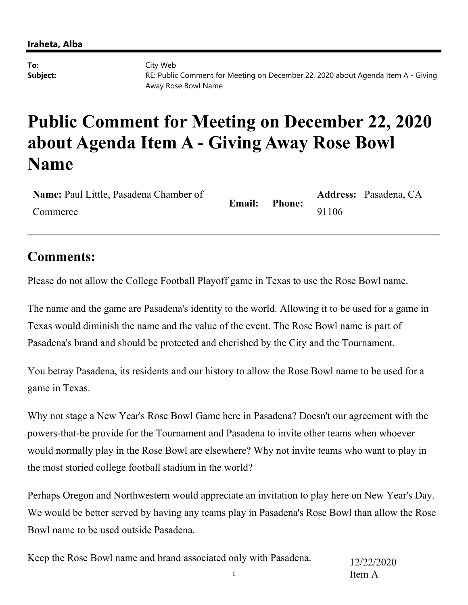**To:** City Web **Subject:** RE: Public Comment for Meeting on December 22, 2020 about Agenda Item A - Giving Away Rose Bowl Name

## **Public Comment for Meeting on December 22, 2020 about Agenda Item A - Giving Away Rose Bowl Name**

| Name: Paul Little, Pasadena Chamber of |               | <b>Phone:</b> |       | Address: Pasadena, CA |
|----------------------------------------|---------------|---------------|-------|-----------------------|
| Commerce                               | <b>Email:</b> |               | 91106 |                       |

## **Comments:**

Please do not allow the College Football Playoff game in Texas to use the Rose Bowl name.

The name and the game are Pasadena's identity to the world. Allowing it to be used for a game in Texas would diminish the name and the value of the event. The Rose Bowl name is part of Pasadena's brand and should be protected and cherished by the City and the Tournament.

You betray Pasadena, its residents and our history to allow the Rose Bowl name to be used for a game in Texas.

Why not stage a New Year's Rose Bowl Game here in Pasadena? Doesn't our agreement with the powers-that-be provide for the Tournament and Pasadena to invite other teams when whoever would normally play in the Rose Bowl are elsewhere? Why not invite teams who want to play in the most storied college football stadium in the world?

Perhaps Oregon and Northwestern would appreciate an invitation to play here on New Year's Day. We would be better served by having any teams play in Pasadena's Rose Bowl than allow the Rose Bowl name to be used outside Pasadena.

1 Keep the Rose Bowl name and brand associated only with Pasadena. 12/22/2020 Item A